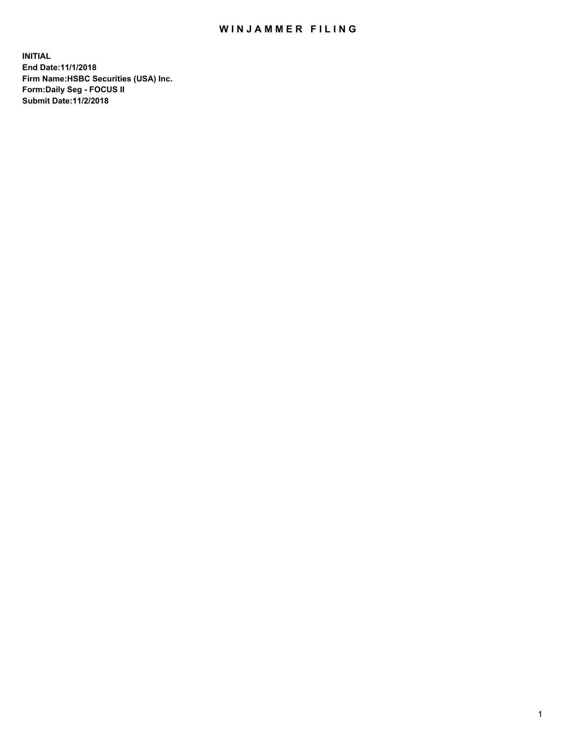## WIN JAMMER FILING

**INITIAL End Date:11/1/2018 Firm Name:HSBC Securities (USA) Inc. Form:Daily Seg - FOCUS II Submit Date:11/2/2018**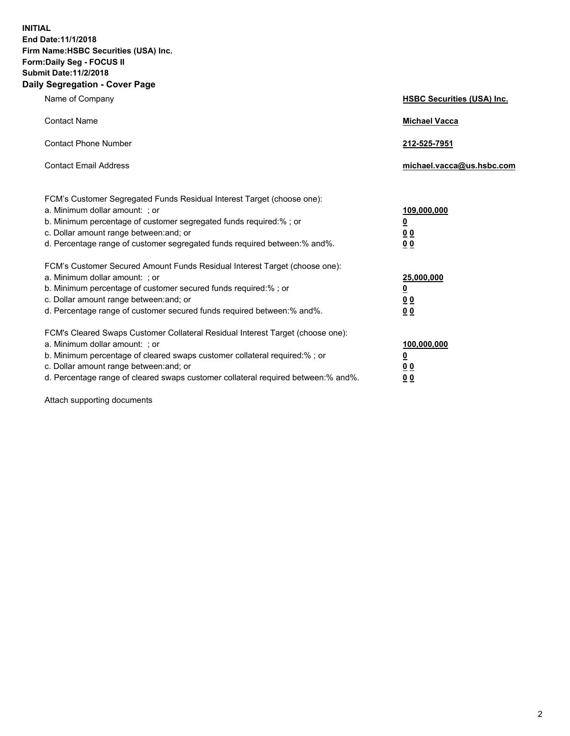**INITIAL End Date:11/1/2018 Firm Name:HSBC Securities (USA) Inc. Form:Daily Seg - FOCUS II Submit Date:11/2/2018 Daily Segregation - Cover Page**

| Name of Company                                                                                                                                                                                                                                                                                                                | <b>HSBC Securities (USA) Inc.</b>                          |
|--------------------------------------------------------------------------------------------------------------------------------------------------------------------------------------------------------------------------------------------------------------------------------------------------------------------------------|------------------------------------------------------------|
| <b>Contact Name</b>                                                                                                                                                                                                                                                                                                            | <b>Michael Vacca</b>                                       |
| <b>Contact Phone Number</b>                                                                                                                                                                                                                                                                                                    | 212-525-7951                                               |
| <b>Contact Email Address</b>                                                                                                                                                                                                                                                                                                   | michael.vacca@us.hsbc.com                                  |
| FCM's Customer Segregated Funds Residual Interest Target (choose one):<br>a. Minimum dollar amount: ; or<br>b. Minimum percentage of customer segregated funds required:% ; or<br>c. Dollar amount range between: and; or<br>d. Percentage range of customer segregated funds required between:% and%.                         | 109,000,000<br>₫<br>0 <sub>0</sub><br>0 <sub>0</sub>       |
| FCM's Customer Secured Amount Funds Residual Interest Target (choose one):<br>a. Minimum dollar amount: ; or<br>b. Minimum percentage of customer secured funds required:% ; or<br>c. Dollar amount range between: and; or<br>d. Percentage range of customer secured funds required between: % and %.                         | 25,000,000<br><u>0</u><br>0 <sub>0</sub><br>0 <sub>0</sub> |
| FCM's Cleared Swaps Customer Collateral Residual Interest Target (choose one):<br>a. Minimum dollar amount: ; or<br>b. Minimum percentage of cleared swaps customer collateral required:% ; or<br>c. Dollar amount range between: and; or<br>d. Percentage range of cleared swaps customer collateral required between:% and%. | 100,000,000<br><u>0</u><br><u>00</u><br>00                 |

Attach supporting documents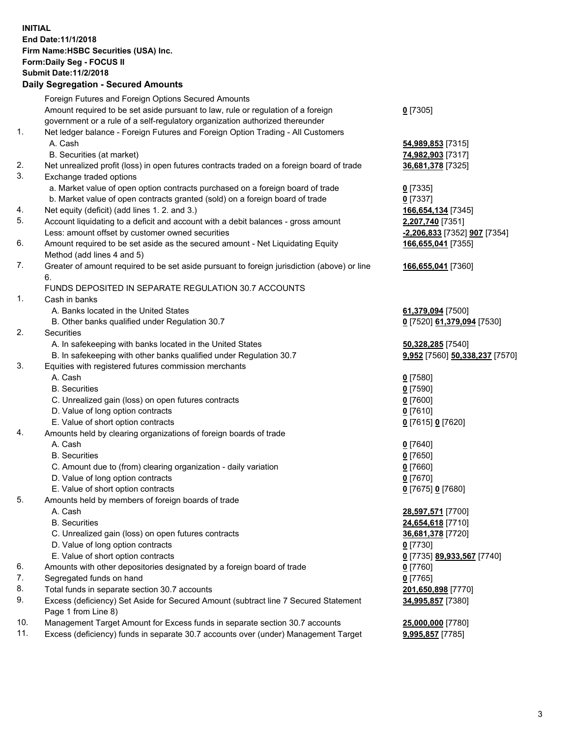**INITIAL End Date:11/1/2018 Firm Name:HSBC Securities (USA) Inc. Form:Daily Seg - FOCUS II Submit Date:11/2/2018 Daily Segregation - Secured Amounts**

|     | Foreign Futures and Foreign Options Secured Amounts                                         |                                |
|-----|---------------------------------------------------------------------------------------------|--------------------------------|
|     | Amount required to be set aside pursuant to law, rule or regulation of a foreign            | $0$ [7305]                     |
|     | government or a rule of a self-regulatory organization authorized thereunder                |                                |
| 1.  | Net ledger balance - Foreign Futures and Foreign Option Trading - All Customers             |                                |
|     | A. Cash                                                                                     | 54,989,853 [7315]              |
|     | B. Securities (at market)                                                                   | 74,982,903 [7317]              |
| 2.  | Net unrealized profit (loss) in open futures contracts traded on a foreign board of trade   | 36,681,378 [7325]              |
| 3.  | Exchange traded options                                                                     |                                |
|     | a. Market value of open option contracts purchased on a foreign board of trade              | $0$ [7335]                     |
|     | b. Market value of open contracts granted (sold) on a foreign board of trade                | $0$ [7337]                     |
| 4.  | Net equity (deficit) (add lines 1.2. and 3.)                                                | 166,654,134 [7345]             |
| 5.  | Account liquidating to a deficit and account with a debit balances - gross amount           | 2,207,740 [7351]               |
|     | Less: amount offset by customer owned securities                                            | -2,206,833 [7352] 907 [7354]   |
| 6.  | Amount required to be set aside as the secured amount - Net Liquidating Equity              | 166,655,041 [7355]             |
|     | Method (add lines 4 and 5)                                                                  |                                |
| 7.  | Greater of amount required to be set aside pursuant to foreign jurisdiction (above) or line | 166,655,041 [7360]             |
|     | 6.                                                                                          |                                |
|     | FUNDS DEPOSITED IN SEPARATE REGULATION 30.7 ACCOUNTS                                        |                                |
| 1.  | Cash in banks                                                                               |                                |
|     | A. Banks located in the United States                                                       | 61,379,094 [7500]              |
|     | B. Other banks qualified under Regulation 30.7                                              | 0 [7520] 61,379,094 [7530]     |
| 2.  | Securities                                                                                  |                                |
|     | A. In safekeeping with banks located in the United States                                   | 50,328,285 [7540]              |
|     | B. In safekeeping with other banks qualified under Regulation 30.7                          | 9,952 [7560] 50,338,237 [7570] |
| 3.  | Equities with registered futures commission merchants                                       |                                |
|     | A. Cash                                                                                     | $0$ [7580]                     |
|     | <b>B.</b> Securities                                                                        | $0$ [7590]                     |
|     | C. Unrealized gain (loss) on open futures contracts                                         | $0$ [7600]                     |
|     | D. Value of long option contracts                                                           | $0$ [7610]                     |
|     | E. Value of short option contracts                                                          | 0 [7615] 0 [7620]              |
| 4.  | Amounts held by clearing organizations of foreign boards of trade                           |                                |
|     | A. Cash                                                                                     | $0$ [7640]                     |
|     | <b>B.</b> Securities                                                                        | $0$ [7650]                     |
|     | C. Amount due to (from) clearing organization - daily variation                             | $0$ [7660]                     |
|     | D. Value of long option contracts                                                           | $0$ [7670]                     |
|     | E. Value of short option contracts                                                          | 0 [7675] 0 [7680]              |
| 5.  | Amounts held by members of foreign boards of trade                                          |                                |
|     | A. Cash                                                                                     | 28,597,571 [7700]              |
|     | <b>B.</b> Securities                                                                        | 24,654,618 [7710]              |
|     | C. Unrealized gain (loss) on open futures contracts                                         | 36,681,378 [7720]              |
|     | D. Value of long option contracts                                                           | $0$ [7730]                     |
|     | E. Value of short option contracts                                                          | 0 [7735] 89,933,567 [7740]     |
| 6.  | Amounts with other depositories designated by a foreign board of trade                      | 0 [7760]                       |
| 7.  | Segregated funds on hand                                                                    | $0$ [7765]                     |
| 8.  | Total funds in separate section 30.7 accounts                                               | 201,650,898 [7770]             |
| 9.  | Excess (deficiency) Set Aside for Secured Amount (subtract line 7 Secured Statement         | 34,995,857 [7380]              |
|     | Page 1 from Line 8)                                                                         |                                |
| 10. | Management Target Amount for Excess funds in separate section 30.7 accounts                 | 25,000,000 [7780]              |
| 11. | Excess (deficiency) funds in separate 30.7 accounts over (under) Management Target          | 9,995,857 [7785]               |
|     |                                                                                             |                                |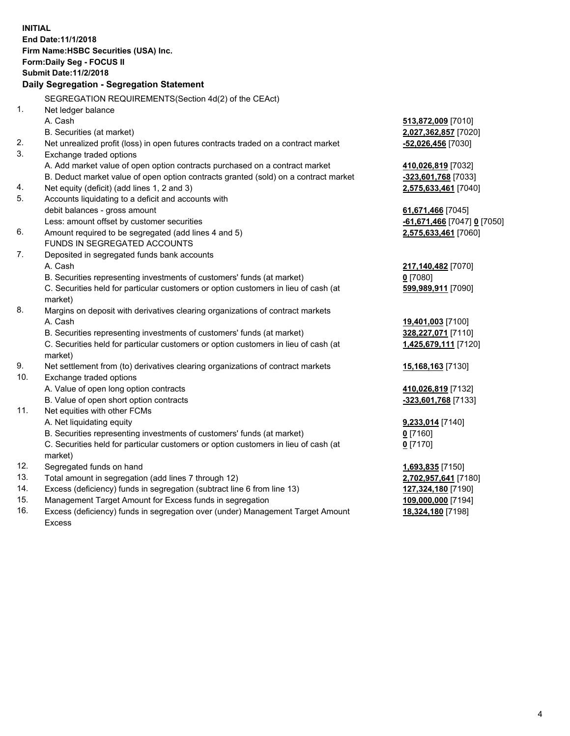**INITIAL End Date:11/1/2018 Firm Name:HSBC Securities (USA) Inc. Form:Daily Seg - FOCUS II Submit Date:11/2/2018 Daily Segregation - Segregation Statement** SEGREGATION REQUIREMENTS(Section 4d(2) of the CEAct) 1. Net ledger balance A. Cash **513,872,009** [7010] B. Securities (at market) **2,027,362,857** [7020] 2. Net unrealized profit (loss) in open futures contracts traded on a contract market **-52,026,456** [7030] 3. Exchange traded options A. Add market value of open option contracts purchased on a contract market **410,026,819** [7032] B. Deduct market value of open option contracts granted (sold) on a contract market **-323,601,768** [7033] 4. Net equity (deficit) (add lines 1, 2 and 3) **2,575,633,461** [7040] 5. Accounts liquidating to a deficit and accounts with debit balances - gross amount **61,671,466** [7045] Less: amount offset by customer securities **-61,671,466** [7047] **0** [7050] 6. Amount required to be segregated (add lines 4 and 5) **2,575,633,461** [7060] FUNDS IN SEGREGATED ACCOUNTS 7. Deposited in segregated funds bank accounts A. Cash **217,140,482** [7070] B. Securities representing investments of customers' funds (at market) **0** [7080] C. Securities held for particular customers or option customers in lieu of cash (at market) **599,989,911** [7090] 8. Margins on deposit with derivatives clearing organizations of contract markets A. Cash **19,401,003** [7100] B. Securities representing investments of customers' funds (at market) **328,227,071** [7110] C. Securities held for particular customers or option customers in lieu of cash (at market) **1,425,679,111** [7120] 9. Net settlement from (to) derivatives clearing organizations of contract markets **15,168,163** [7130] 10. Exchange traded options A. Value of open long option contracts **410,026,819** [7132] B. Value of open short option contracts **-323,601,768** [7133] 11. Net equities with other FCMs A. Net liquidating equity **9,233,014** [7140] B. Securities representing investments of customers' funds (at market) **0** [7160] C. Securities held for particular customers or option customers in lieu of cash (at market) **0** [7170] 12. Segregated funds on hand **1,693,835** [7150] 13. Total amount in segregation (add lines 7 through 12) **2,702,957,641** [7180] 14. Excess (deficiency) funds in segregation (subtract line 6 from line 13) **127,324,180** [7190] 15. Management Target Amount for Excess funds in segregation **109,000,000** [7194] 16. Excess (deficiency) funds in segregation over (under) Management Target Amount **18,324,180** [7198]

Excess